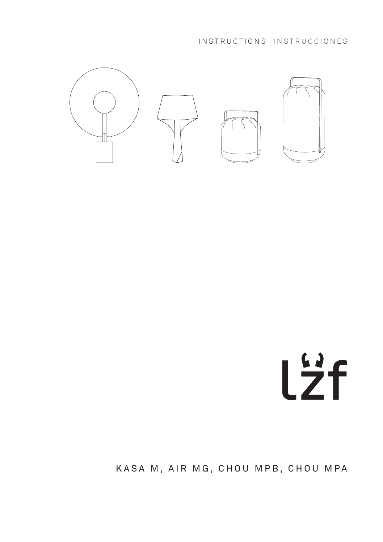INSTRUCTIONS INSTRUCCIONES



# Lzf

KASA M, AIR MG, CHOU MPB, CHOU MPA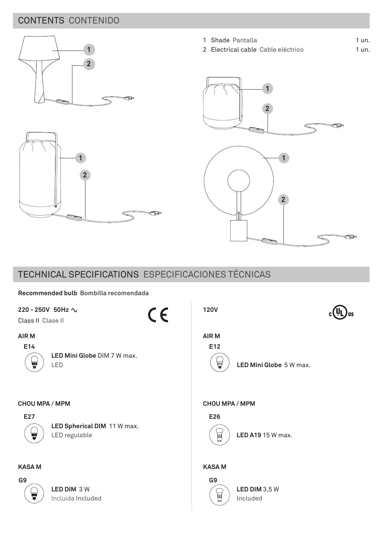# CONTENTS CONTENIDO





═

1 un. 1 un.

1 Shade Pantalla

2 Electrical cable Cable eléctrico



# TECHNICAL SPECIFICATIONS ESPECIFICACIONES TÉCNICAS

## **Recommended bulb Bombilla recomendada**

| 220 - 250V 50Hz $\sim$<br>CE<br>Class II Clase II                          | <b>120V</b>                                            |
|----------------------------------------------------------------------------|--------------------------------------------------------|
| AIR M<br>E14<br>LED Mini Globe DIM 7 W max.<br>V<br>LED                    | AIR M<br>E12<br>v<br>LED Mini Globe 5 W max.           |
| CHOU MPA / MPM<br>E27<br>LED Spherical DIM 11 W max.<br>LED regulable<br>T | CHOU MPA / MPM<br>E26<br><b>LED A19 15 W max.</b><br>圓 |
| <b>KASAM</b>                                                               | <b>KASA M</b>                                          |
| G9<br>LED DIM 3 W<br>T<br>Incluida Included                                | G9<br>LED DIM 3,5 W<br>回<br>Included                   |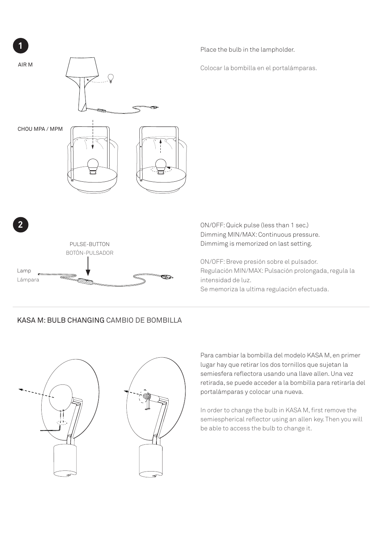

# KASA M: BULB CHANGING CAMBIO DE BOMBILLA



Para cambiar la bombilla del modelo KASA M, en primer lugar hay que retirar los dos tornillos que sujetan la semiesfera reflectora usando una llave allen. Una vez retirada, se puede acceder a la bombilla para retirarla del portalámparas y colocar una nueva.

In order to change the bulb in KASA M, first remove the semiespherical reflector using an allen key. Then you will be able to access the bulb to change it.